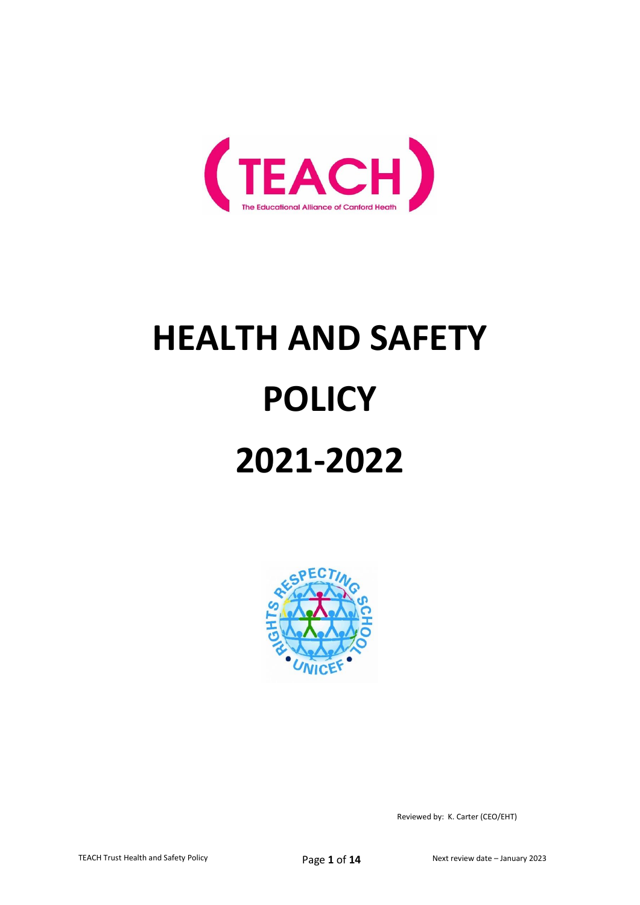

# **HEALTH AND SAFETY POLICY 2021-2022**



Reviewed by: K. Carter (CEO/EHT)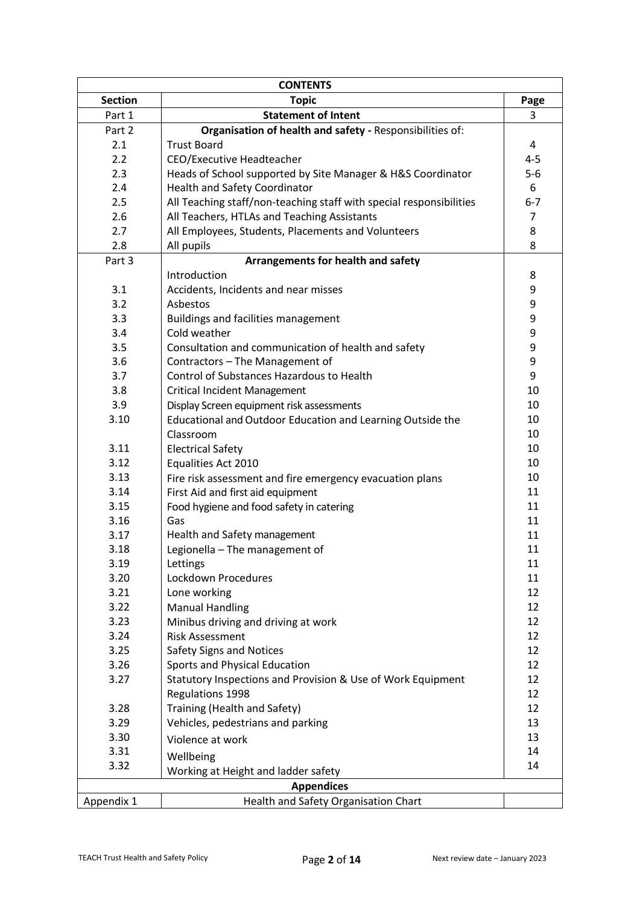| <b>CONTENTS</b>   |                                                                     |                |  |
|-------------------|---------------------------------------------------------------------|----------------|--|
| <b>Section</b>    | <b>Topic</b>                                                        | Page           |  |
| Part 1            | <b>Statement of Intent</b>                                          | 3              |  |
| Part 2            | Organisation of health and safety - Responsibilities of:            |                |  |
| 2.1               | <b>Trust Board</b>                                                  | 4              |  |
| 2.2               | CEO/Executive Headteacher                                           | $4 - 5$        |  |
| 2.3               | Heads of School supported by Site Manager & H&S Coordinator         | $5-6$          |  |
| 2.4               | <b>Health and Safety Coordinator</b>                                | 6              |  |
| 2.5               | All Teaching staff/non-teaching staff with special responsibilities | $6 - 7$        |  |
| 2.6               | All Teachers, HTLAs and Teaching Assistants                         | $\overline{7}$ |  |
| 2.7               | All Employees, Students, Placements and Volunteers                  | 8              |  |
| 2.8               | All pupils                                                          | 8              |  |
| Part 3            | Arrangements for health and safety                                  |                |  |
|                   | Introduction                                                        | 8              |  |
| 3.1               | Accidents, Incidents and near misses                                | 9              |  |
| 3.2               | Asbestos                                                            | 9              |  |
| 3.3               | Buildings and facilities management                                 | 9              |  |
| 3.4               | Cold weather                                                        | 9              |  |
| 3.5               | Consultation and communication of health and safety                 | 9              |  |
| 3.6               | Contractors - The Management of                                     | 9              |  |
| 3.7               | Control of Substances Hazardous to Health                           | 9              |  |
| 3.8               | <b>Critical Incident Management</b>                                 | 10             |  |
| 3.9               | Display Screen equipment risk assessments                           | 10             |  |
| 3.10              | Educational and Outdoor Education and Learning Outside the          | 10             |  |
|                   | Classroom                                                           | 10             |  |
| 3.11              | <b>Electrical Safety</b>                                            | 10             |  |
| 3.12              | Equalities Act 2010                                                 | 10             |  |
| 3.13              | Fire risk assessment and fire emergency evacuation plans            | 10             |  |
| 3.14              | First Aid and first aid equipment                                   | 11             |  |
| 3.15              | Food hygiene and food safety in catering                            | 11             |  |
| 3.16              | Gas                                                                 | 11             |  |
| 3.17              | Health and Safety management                                        | 11             |  |
| 3.18              | Legionella - The management of                                      | 11             |  |
| 3.19              | Lettings                                                            | 11             |  |
| 3.20              | Lockdown Procedures                                                 | 11             |  |
| 3.21              | Lone working                                                        | 12             |  |
| 3.22              | <b>Manual Handling</b>                                              | 12             |  |
| 3.23              | Minibus driving and driving at work                                 | 12             |  |
| 3.24              | <b>Risk Assessment</b>                                              | 12             |  |
| 3.25              | <b>Safety Signs and Notices</b>                                     | 12             |  |
| 3.26              | Sports and Physical Education                                       | 12             |  |
| 3.27              | Statutory Inspections and Provision & Use of Work Equipment         | 12             |  |
|                   | Regulations 1998                                                    | 12             |  |
| 3.28              | Training (Health and Safety)                                        | 12             |  |
| 3.29              | Vehicles, pedestrians and parking                                   | 13             |  |
| 3.30              | Violence at work                                                    | 13             |  |
| 3.31              | Wellbeing                                                           | 14             |  |
| 3.32              | Working at Height and ladder safety                                 | 14             |  |
| <b>Appendices</b> |                                                                     |                |  |
| Appendix 1        | Health and Safety Organisation Chart                                |                |  |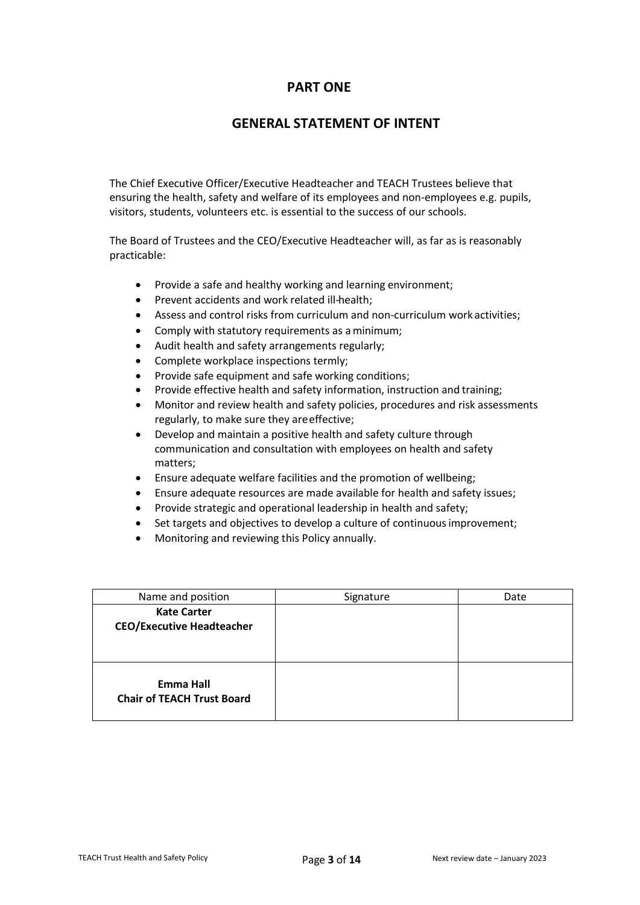# **PART ONE**

# **GENERAL STATEMENT OF INTENT**

The Chief Executive Officer/Executive Headteacher and TEACH Trustees believe that ensuring the health, safety and welfare of its employees and non-employees e.g. pupils, visitors, students, volunteers etc. is essential to the success of our schools.

The Board of Trustees and the CEO/Executive Headteacher will, as far as is reasonably practicable:

- Provide a safe and healthy working and learning environment;
- Prevent accidents and work related ill-health;
- Assess and control risks from curriculum and non-curriculum work activities;
- Comply with statutory requirements as aminimum;
- Audit health and safety arrangements regularly;
- Complete workplace inspections termly;
- Provide safe equipment and safe working conditions;
- Provide effective health and safety information, instruction and training;
- Monitor and review health and safety policies, procedures and risk assessments regularly, to make sure they areeffective;
- Develop and maintain a positive health and safety culture through communication and consultation with employees on health and safety matters;
- Ensure adequate welfare facilities and the promotion of wellbeing;
- Ensure adequate resources are made available for health and safety issues;
- Provide strategic and operational leadership in health and safety;
- Set targets and objectives to develop a culture of continuous improvement;
- Monitoring and reviewing this Policy annually.

| Name and position                                      | Signature | Date |
|--------------------------------------------------------|-----------|------|
| <b>Kate Carter</b><br><b>CEO/Executive Headteacher</b> |           |      |
| Emma Hall<br><b>Chair of TEACH Trust Board</b>         |           |      |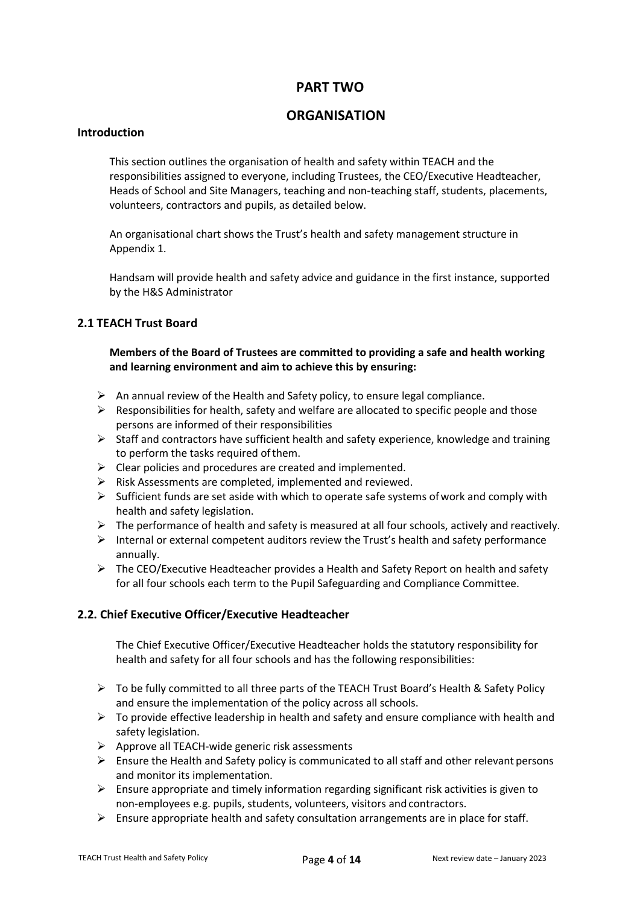# **PART TWO**

# **ORGANISATION**

#### **Introduction**

This section outlines the organisation of health and safety within TEACH and the responsibilities assigned to everyone, including Trustees, the CEO/Executive Headteacher, Heads of School and Site Managers, teaching and non-teaching staff, students, placements, volunteers, contractors and pupils, as detailed below.

An organisational chart shows the Trust's health and safety management structure in Appendix 1.

Handsam will provide health and safety advice and guidance in the first instance, supported by the H&S Administrator

## **2.1 TEACH Trust Board**

## **Members of the Board of Trustees are committed to providing a safe and health working and learning environment and aim to achieve this by ensuring:**

- $\triangleright$  An annual review of the Health and Safety policy, to ensure legal compliance.
- $\triangleright$  Responsibilities for health, safety and welfare are allocated to specific people and those persons are informed of their responsibilities
- ➢ Staff and contractors have sufficient health and safety experience, knowledge and training to perform the tasks required ofthem.
- $\triangleright$  Clear policies and procedures are created and implemented.
- $\triangleright$  Risk Assessments are completed, implemented and reviewed.
- $\triangleright$  Sufficient funds are set aside with which to operate safe systems of work and comply with health and safety legislation.
- $\triangleright$  The performance of health and safety is measured at all four schools, actively and reactively.
- $\triangleright$  Internal or external competent auditors review the Trust's health and safety performance annually.
- ➢ The CEO/Executive Headteacher provides a Health and Safety Report on health and safety for all four schools each term to the Pupil Safeguarding and Compliance Committee.

# **2.2. Chief Executive Officer/Executive Headteacher**

The Chief Executive Officer/Executive Headteacher holds the statutory responsibility for health and safety for all four schools and has the following responsibilities:

- ➢ To be fully committed to all three parts of the TEACH Trust Board's Health & Safety Policy and ensure the implementation of the policy across all schools.
- ➢ To provide effective leadership in health and safety and ensure compliance with health and safety legislation.
- ➢ Approve all TEACH-wide generic risk assessments
- $\triangleright$  Ensure the Health and Safety policy is communicated to all staff and other relevant persons and monitor its implementation.
- $\triangleright$  Ensure appropriate and timely information regarding significant risk activities is given to non-employees e.g. pupils, students, volunteers, visitors and contractors.
- $\triangleright$  Ensure appropriate health and safety consultation arrangements are in place for staff.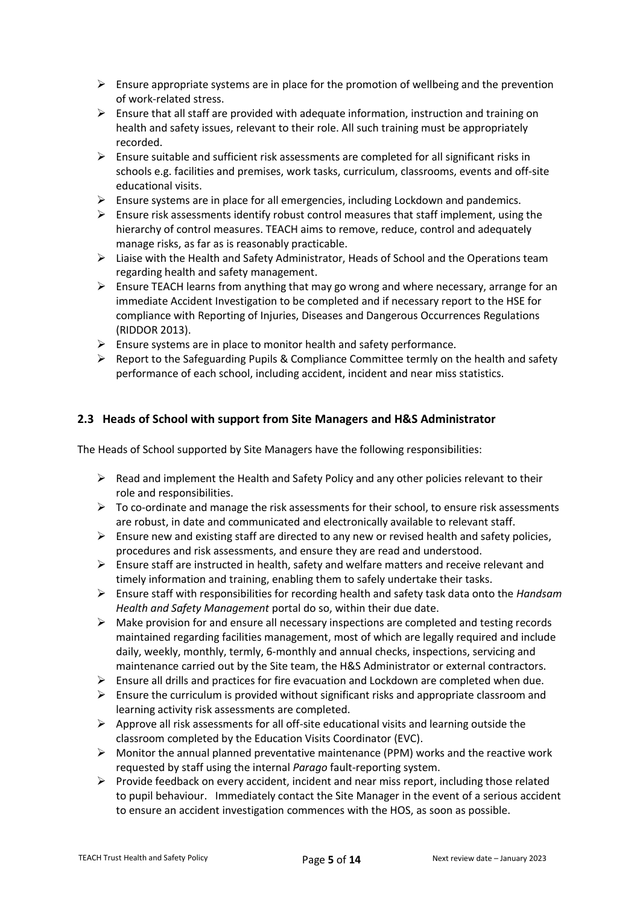- $\triangleright$  Ensure appropriate systems are in place for the promotion of wellbeing and the prevention of work-related stress.
- ➢ Ensure that all staff are provided with adequate information, instruction and training on health and safety issues, relevant to their role. All such training must be appropriately recorded.
- $\triangleright$  Ensure suitable and sufficient risk assessments are completed for all significant risks in schools e.g. facilities and premises, work tasks, curriculum, classrooms, events and off-site educational visits.
- $\triangleright$  Ensure systems are in place for all emergencies, including Lockdown and pandemics.
- $\triangleright$  Ensure risk assessments identify robust control measures that staff implement, using the hierarchy of control measures. TEACH aims to remove, reduce, control and adequately manage risks, as far as is reasonably practicable.
- ➢ Liaise with the Health and Safety Administrator, Heads of School and the Operations team regarding health and safety management.
- $\triangleright$  Ensure TEACH learns from anything that may go wrong and where necessary, arrange for an immediate Accident Investigation to be completed and if necessary report to the HSE for compliance with Reporting of Injuries, Diseases and Dangerous Occurrences Regulations (RIDDOR 2013).
- $\triangleright$  Ensure systems are in place to monitor health and safety performance.
- $\triangleright$  Report to the Safeguarding Pupils & Compliance Committee termly on the health and safety performance of each school, including accident, incident and near miss statistics.

# **2.3 Heads of School with support from Site Managers and H&S Administrator**

The Heads of School supported by Site Managers have the following responsibilities:

- $\triangleright$  Read and implement the Health and Safety Policy and any other policies relevant to their role and responsibilities.
- $\triangleright$  To co-ordinate and manage the risk assessments for their school, to ensure risk assessments are robust, in date and communicated and electronically available to relevant staff.
- ➢ Ensure new and existing staff are directed to any new or revised health and safety policies, procedures and risk assessments, and ensure they are read and understood.
- $\triangleright$  Ensure staff are instructed in health, safety and welfare matters and receive relevant and timely information and training, enabling them to safely undertake their tasks.
- ➢ Ensure staff with responsibilities for recording health and safety task data onto the *Handsam Health and Safety Management* portal do so, within their due date.
- $\triangleright$  Make provision for and ensure all necessary inspections are completed and testing records maintained regarding facilities management, most of which are legally required and include daily, weekly, monthly, termly, 6-monthly and annual checks, inspections, servicing and maintenance carried out by the Site team, the H&S Administrator or external contractors.
- $\triangleright$  Ensure all drills and practices for fire evacuation and Lockdown are completed when due.
- $\triangleright$  Ensure the curriculum is provided without significant risks and appropriate classroom and learning activity risk assessments are completed.
- $\triangleright$  Approve all risk assessments for all off-site educational visits and learning outside the classroom completed by the Education Visits Coordinator (EVC).
- ➢ Monitor the annual planned preventative maintenance (PPM) works and the reactive work requested by staff using the internal *Parago* fault-reporting system.
- $\triangleright$  Provide feedback on every accident, incident and near miss report, including those related to pupil behaviour. Immediately contact the Site Manager in the event of a serious accident to ensure an accident investigation commences with the HOS, as soon as possible.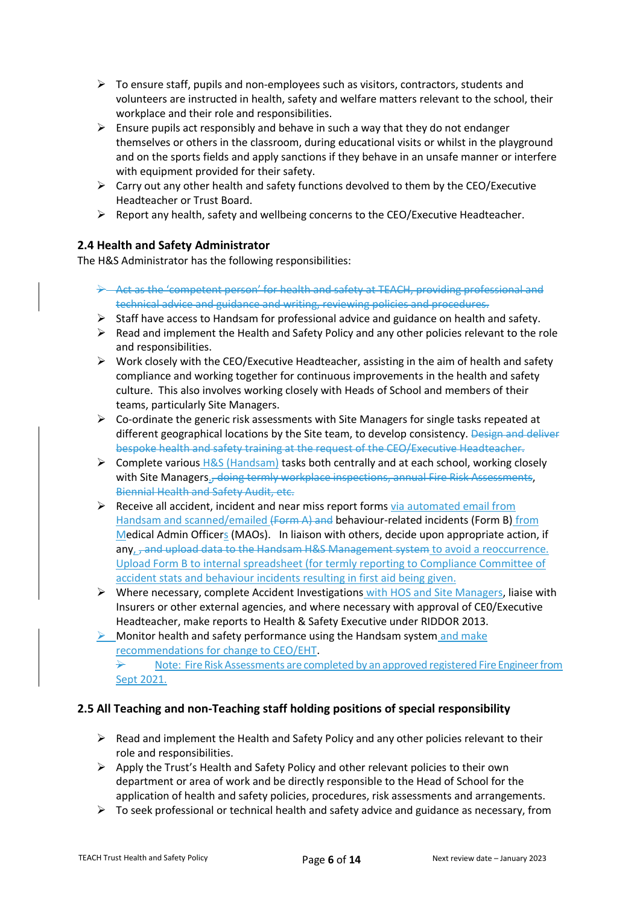- $\triangleright$  To ensure staff, pupils and non-employees such as visitors, contractors, students and volunteers are instructed in health, safety and welfare matters relevant to the school, their workplace and their role and responsibilities.
- $\triangleright$  Ensure pupils act responsibly and behave in such a way that they do not endanger themselves or others in the classroom, during educational visits or whilst in the playground and on the sports fields and apply sanctions if they behave in an unsafe manner or interfere with equipment provided for their safety.
- $\triangleright$  Carry out any other health and safety functions devolved to them by the CEO/Executive Headteacher or Trust Board.
- $\triangleright$  Report any health, safety and wellbeing concerns to the CEO/Executive Headteacher.

# **2.4 Health and Safety Administrator**

The H&S Administrator has the following responsibilities:

- ➢ Act as the 'competent person' for health and safety at TEACH, providing professional and technical advice and guidance and writing, reviewing policies and procedures.
- ➢ Staff have access to Handsam for professional advice and guidance on health and safety.
- $\triangleright$  Read and implement the Health and Safety Policy and any other policies relevant to the role and responsibilities.
- $\triangleright$  Work closely with the CEO/Executive Headteacher, assisting in the aim of health and safety compliance and working together for continuous improvements in the health and safety culture. This also involves working closely with Heads of School and members of their teams, particularly Site Managers.
- $\triangleright$  Co-ordinate the generic risk assessments with Site Managers for single tasks repeated at different geographical locations by the Site team, to develop consistency. Design and deliver bespoke health and safety training at the request of the CEO/Executive Headteacher.
- $\triangleright$  Complete various H&S (Handsam) tasks both centrally and at each school, working closely with Site Managers., doing termly workplace inspections, annual Fire Risk Assessments, Biennial Health and Safety Audit, etc.
- $\triangleright$  Receive all accident, incident and near miss report forms via automated email from Handsam and scanned/emailed (Form A) and behaviour-related incidents (Form B) from Medical Admin Officers (MAOs). In liaison with others, decide upon appropriate action, if any, <del>, and upload data to the Handsam H&S Management system</del> to avoid a reoccurrence. Upload Form B to internal spreadsheet (for termly reporting to Compliance Committee of accident stats and behaviour incidents resulting in first aid being given.
- ➢ Where necessary, complete Accident Investigations with HOS and Site Managers, liaise with Insurers or other external agencies, and where necessary with approval of CE0/Executive Headteacher, make reports to Health & Safety Executive under RIDDOR 2013.
- $\triangleright$  Monitor health and safety performance using the Handsam system and make recommendations for change to CEO/EHT.

 $\rightarrow$  Note: Fire Risk Assessments are completed by an approved registered Fire Engineer from Sept 2021.

# **2.5 All Teaching and non-Teaching staff holding positions of special responsibility**

- $\triangleright$  Read and implement the Health and Safety Policy and any other policies relevant to their role and responsibilities.
- $\triangleright$  Apply the Trust's Health and Safety Policy and other relevant policies to their own department or area of work and be directly responsible to the Head of School for the application of health and safety policies, procedures, risk assessments and arrangements.
- $\triangleright$  To seek professional or technical health and safety advice and guidance as necessary, from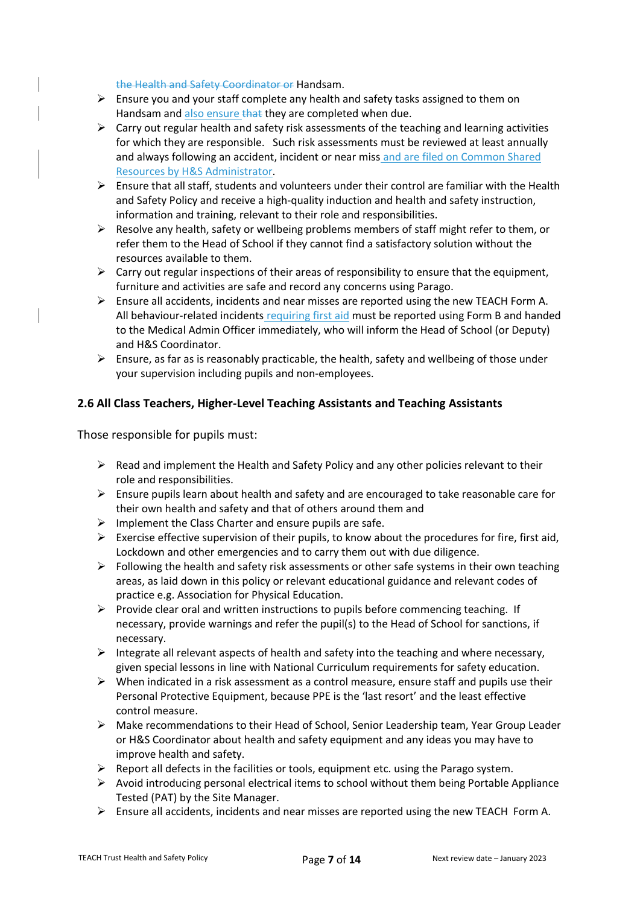the Health and Safety Coordinator or Handsam.

- $\triangleright$  Ensure you and your staff complete any health and safety tasks assigned to them on Handsam and also ensure that they are completed when due.
- $\triangleright$  Carry out regular health and safety risk assessments of the teaching and learning activities for which they are responsible. Such risk assessments must be reviewed at least annually and always following an accident, incident or near miss and are filed on Common Shared Resources by H&S Administrator.
- ➢ Ensure that all staff, students and volunteers under their control are familiar with the Health and Safety Policy and receive a high-quality induction and health and safety instruction, information and training, relevant to their role and responsibilities.
- $\triangleright$  Resolve any health, safety or wellbeing problems members of staff might refer to them, or refer them to the Head of School if they cannot find a satisfactory solution without the resources available to them.
- $\triangleright$  Carry out regular inspections of their areas of responsibility to ensure that the equipment, furniture and activities are safe and record any concerns using Parago.
- $\triangleright$  Ensure all accidents, incidents and near misses are reported using the new TEACH Form A. All behaviour-related incidents requiring first aid must be reported using Form B and handed to the Medical Admin Officer immediately, who will inform the Head of School (or Deputy) and H&S Coordinator.
- $\triangleright$  Ensure, as far as is reasonably practicable, the health, safety and wellbeing of those under your supervision including pupils and non-employees.

# **2.6 All Class Teachers, Higher-Level Teaching Assistants and Teaching Assistants**

Those responsible for pupils must:

- $\triangleright$  Read and implement the Health and Safety Policy and any other policies relevant to their role and responsibilities.
- $\triangleright$  Ensure pupils learn about health and safety and are encouraged to take reasonable care for their own health and safety and that of others around them and
- $\triangleright$  Implement the Class Charter and ensure pupils are safe.
- $\triangleright$  Exercise effective supervision of their pupils, to know about the procedures for fire, first aid, Lockdown and other emergencies and to carry them out with due diligence.
- $\triangleright$  Following the health and safety risk assessments or other safe systems in their own teaching areas, as laid down in this policy or relevant educational guidance and relevant codes of practice e.g. Association for Physical Education.
- $\triangleright$  Provide clear oral and written instructions to pupils before commencing teaching. If necessary, provide warnings and refer the pupil(s) to the Head of School for sanctions, if necessary.
- $\triangleright$  Integrate all relevant aspects of health and safety into the teaching and where necessary, given special lessons in line with National Curriculum requirements for safety education.
- $\triangleright$  When indicated in a risk assessment as a control measure, ensure staff and pupils use their Personal Protective Equipment, because PPE is the 'last resort' and the least effective control measure.
- $\triangleright$  Make recommendations to their Head of School, Senior Leadership team, Year Group Leader or H&S Coordinator about health and safety equipment and any ideas you may have to improve health and safety.
- $\triangleright$  Report all defects in the facilities or tools, equipment etc. using the Parago system.
- ➢ Avoid introducing personal electrical items to school without them being Portable Appliance Tested (PAT) by the Site Manager.
- $\triangleright$  Ensure all accidents, incidents and near misses are reported using the new TEACH Form A.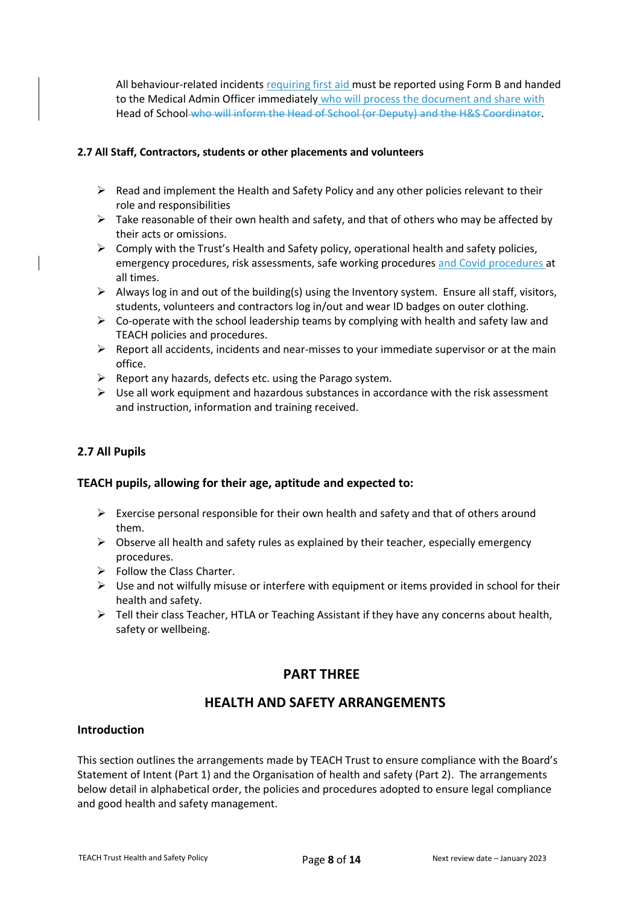All behaviour-related incidents requiring first aid must be reported using Form B and handed to the Medical Admin Officer immediately who will process the document and share with Head of School who will inform the Head of School (or Deputy) and the H&S Coordinator.

#### **2.7 All Staff, Contractors, students or other placements and volunteers**

- $\triangleright$  Read and implement the Health and Safety Policy and any other policies relevant to their role and responsibilities
- $\triangleright$  Take reasonable of their own health and safety, and that of others who may be affected by their acts or omissions.
- $\triangleright$  Comply with the Trust's Health and Safety policy, operational health and safety policies, emergency procedures, risk assessments, safe working procedures and Covid procedures at all times.
- $\triangleright$  Always log in and out of the building(s) using the Inventory system. Ensure all staff, visitors, students, volunteers and contractors log in/out and wear ID badges on outer clothing.
- $\triangleright$  Co-operate with the school leadership teams by complying with health and safety law and TEACH policies and procedures.
- $\triangleright$  Report all accidents, incidents and near-misses to your immediate supervisor or at the main office.
- ➢ Report any hazards, defects etc. using the Parago system.
- $\triangleright$  Use all work equipment and hazardous substances in accordance with the risk assessment and instruction, information and training received.

## **2.7 All Pupils**

#### **TEACH pupils, allowing for their age, aptitude and expected to:**

- $\triangleright$  Exercise personal responsible for their own health and safety and that of others around them.
- $\triangleright$  Observe all health and safety rules as explained by their teacher, especially emergency procedures.
- $\triangleright$  Follow the Class Charter.
- ➢ Use and not wilfully misuse or interfere with equipment or items provided in school for their health and safety.
- $\triangleright$  Tell their class Teacher, HTLA or Teaching Assistant if they have any concerns about health, safety or wellbeing.

# **PART THREE**

# **HEALTH AND SAFETY ARRANGEMENTS**

#### **Introduction**

This section outlines the arrangements made by TEACH Trust to ensure compliance with the Board's Statement of Intent (Part 1) and the Organisation of health and safety (Part 2). The arrangements below detail in alphabetical order, the policies and procedures adopted to ensure legal compliance and good health and safety management.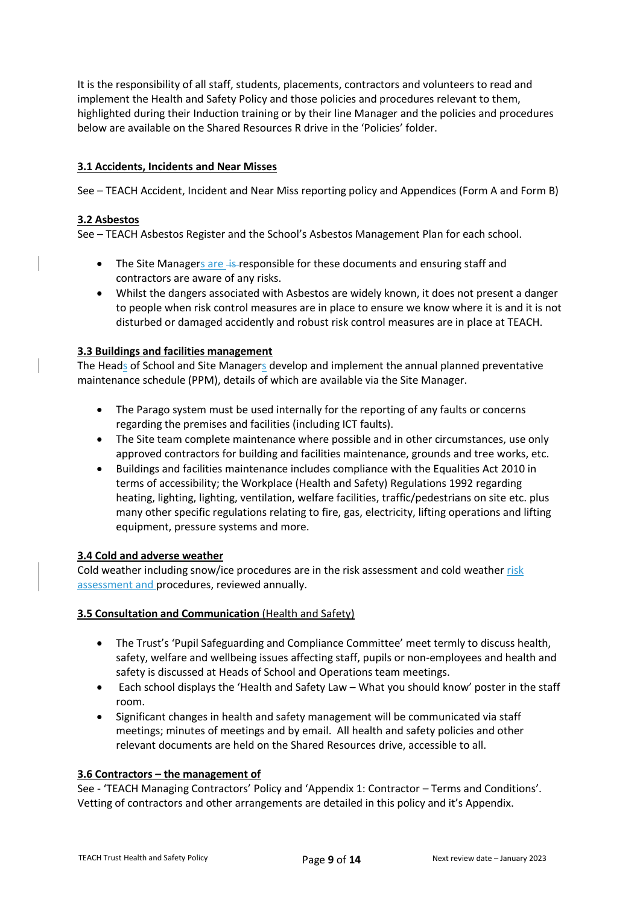It is the responsibility of all staff, students, placements, contractors and volunteers to read and implement the Health and Safety Policy and those policies and procedures relevant to them, highlighted during their Induction training or by their line Manager and the policies and procedures below are available on the Shared Resources R drive in the 'Policies' folder.

#### **3.1 Accidents, Incidents and Near Misses**

See – TEACH Accident, Incident and Near Miss reporting policy and Appendices (Form A and Form B)

#### **3.2 Asbestos**

See – TEACH Asbestos Register and the School's Asbestos Management Plan for each school.

- The Site Managers are +s-responsible for these documents and ensuring staff and contractors are aware of any risks.
- Whilst the dangers associated with Asbestos are widely known, it does not present a danger to people when risk control measures are in place to ensure we know where it is and it is not disturbed or damaged accidently and robust risk control measures are in place at TEACH.

#### **3.3 Buildings and facilities management**

The Heads of School and Site Managers develop and implement the annual planned preventative maintenance schedule (PPM), details of which are available via the Site Manager.

- The Parago system must be used internally for the reporting of any faults or concerns regarding the premises and facilities (including ICT faults).
- The Site team complete maintenance where possible and in other circumstances, use only approved contractors for building and facilities maintenance, grounds and tree works, etc.
- Buildings and facilities maintenance includes compliance with the Equalities Act 2010 in terms of accessibility; the Workplace (Health and Safety) Regulations 1992 regarding heating, lighting, lighting, ventilation, welfare facilities, traffic/pedestrians on site etc. plus many other specific regulations relating to fire, gas, electricity, lifting operations and lifting equipment, pressure systems and more.

#### **3.4 Cold and adverse weather**

Cold weather including snow/ice procedures are in the risk assessment and cold weather risk assessment and procedures, reviewed annually.

#### **3.5 Consultation and Communication** (Health and Safety)

- The Trust's 'Pupil Safeguarding and Compliance Committee' meet termly to discuss health, safety, welfare and wellbeing issues affecting staff, pupils or non-employees and health and safety is discussed at Heads of School and Operations team meetings.
- Each school displays the 'Health and Safety Law What you should know' poster in the staff room.
- Significant changes in health and safety management will be communicated via staff meetings; minutes of meetings and by email. All health and safety policies and other relevant documents are held on the Shared Resources drive, accessible to all.

#### **3.6 Contractors – the management of**

See - 'TEACH Managing Contractors' Policy and 'Appendix 1: Contractor – Terms and Conditions'. Vetting of contractors and other arrangements are detailed in this policy and it's Appendix.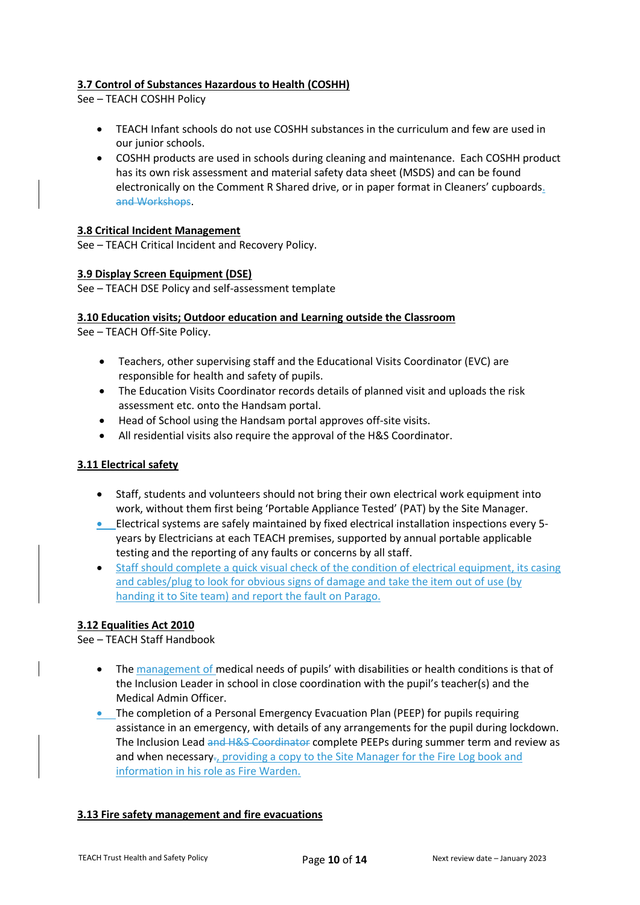#### **3.7 Control of Substances Hazardous to Health (COSHH)**

See – TEACH COSHH Policy

- TEACH Infant schools do not use COSHH substances in the curriculum and few are used in our junior schools.
- COSHH products are used in schools during cleaning and maintenance. Each COSHH product has its own risk assessment and material safety data sheet (MSDS) and can be found electronically on the Comment R Shared drive, or in paper format in Cleaners' cupboards. and Workshops.

#### **3.8 Critical Incident Management**

See – TEACH Critical Incident and Recovery Policy.

#### **3.9 Display Screen Equipment (DSE)**

See – TEACH DSE Policy and self-assessment template

#### **3.10 Education visits; Outdoor education and Learning outside the Classroom**

See – TEACH Off-Site Policy.

- Teachers, other supervising staff and the Educational Visits Coordinator (EVC) are responsible for health and safety of pupils.
- The Education Visits Coordinator records details of planned visit and uploads the risk assessment etc. onto the Handsam portal.
- Head of School using the Handsam portal approves off-site visits.
- All residential visits also require the approval of the H&S Coordinator.

#### **3.11 Electrical safety**

- Staff, students and volunteers should not bring their own electrical work equipment into work, without them first being 'Portable Appliance Tested' (PAT) by the Site Manager.
- Electrical systems are safely maintained by fixed electrical installation inspections every 5 years by Electricians at each TEACH premises, supported by annual portable applicable testing and the reporting of any faults or concerns by all staff.
- Staff should complete a quick visual check of the condition of electrical equipment, its casing and cables/plug to look for obvious signs of damage and take the item out of use (by handing it to Site team) and report the fault on Parago.

#### **3.12 Equalities Act 2010**

See – TEACH Staff Handbook

- The management of medical needs of pupils' with disabilities or health conditions is that of the Inclusion Leader in school in close coordination with the pupil's teacher(s) and the Medical Admin Officer.
- The completion of a Personal Emergency Evacuation Plan (PEEP) for pupils requiring assistance in an emergency, with details of any arrangements for the pupil during lockdown. The Inclusion Lead and H&S Coordinator complete PEEPs during summer term and review as and when necessary-, providing a copy to the Site Manager for the Fire Log book and information in his role as Fire Warden.

#### **3.13 Fire safety management and fire evacuations**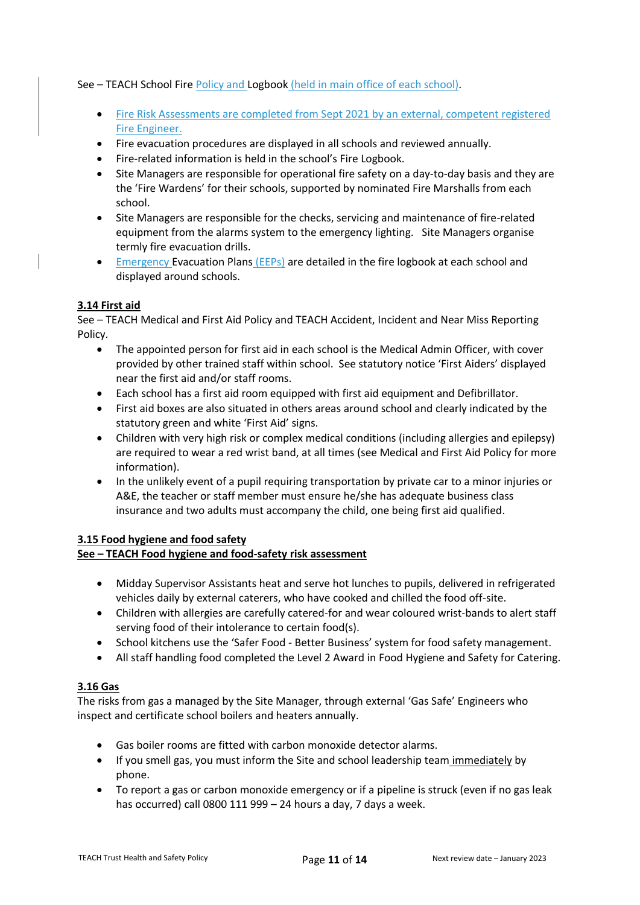See – TEACH School Fire Policy and Logbook (held in main office of each school).

- Fire Risk Assessments are completed from Sept 2021 by an external, competent registered Fire Engineer.
- Fire evacuation procedures are displayed in all schools and reviewed annually.
- Fire-related information is held in the school's Fire Logbook.
- Site Managers are responsible for operational fire safety on a day-to-day basis and they are the 'Fire Wardens' for their schools, supported by nominated Fire Marshalls from each school.
- Site Managers are responsible for the checks, servicing and maintenance of fire-related equipment from the alarms system to the emergency lighting. Site Managers organise termly fire evacuation drills.
- Emergency Evacuation Plans (EEPs) are detailed in the fire logbook at each school and displayed around schools.

## **3.14 First aid**

See – TEACH Medical and First Aid Policy and TEACH Accident, Incident and Near Miss Reporting Policy.

- The appointed person for first aid in each school is the Medical Admin Officer, with cover provided by other trained staff within school. See statutory notice 'First Aiders' displayed near the first aid and/or staff rooms.
- Each school has a first aid room equipped with first aid equipment and Defibrillator.
- First aid boxes are also situated in others areas around school and clearly indicated by the statutory green and white 'First Aid' signs.
- Children with very high risk or complex medical conditions (including allergies and epilepsy) are required to wear a red wrist band, at all times (see Medical and First Aid Policy for more information).
- In the unlikely event of a pupil requiring transportation by private car to a minor injuries or A&E, the teacher or staff member must ensure he/she has adequate business class insurance and two adults must accompany the child, one being first aid qualified.

# **3.15 Food hygiene and food safety**

#### **See – TEACH Food hygiene and food-safety risk assessment**

- Midday Supervisor Assistants heat and serve hot lunches to pupils, delivered in refrigerated vehicles daily by external caterers, who have cooked and chilled the food off-site.
- Children with allergies are carefully catered-for and wear coloured wrist-bands to alert staff serving food of their intolerance to certain food(s).
- School kitchens use the 'Safer Food Better Business' system for food safety management.
- All staff handling food completed the Level 2 Award in Food Hygiene and Safety for Catering.

#### **3.16 Gas**

The risks from gas a managed by the Site Manager, through external 'Gas Safe' Engineers who inspect and certificate school boilers and heaters annually.

- Gas boiler rooms are fitted with carbon monoxide detector alarms.
- If you smell gas, you must inform the Site and school leadership team immediately by phone.
- To report a gas or carbon monoxide emergency or if a pipeline is struck (even if no gas leak has occurred) call 0800 111 999 – 24 hours a day, 7 days a week.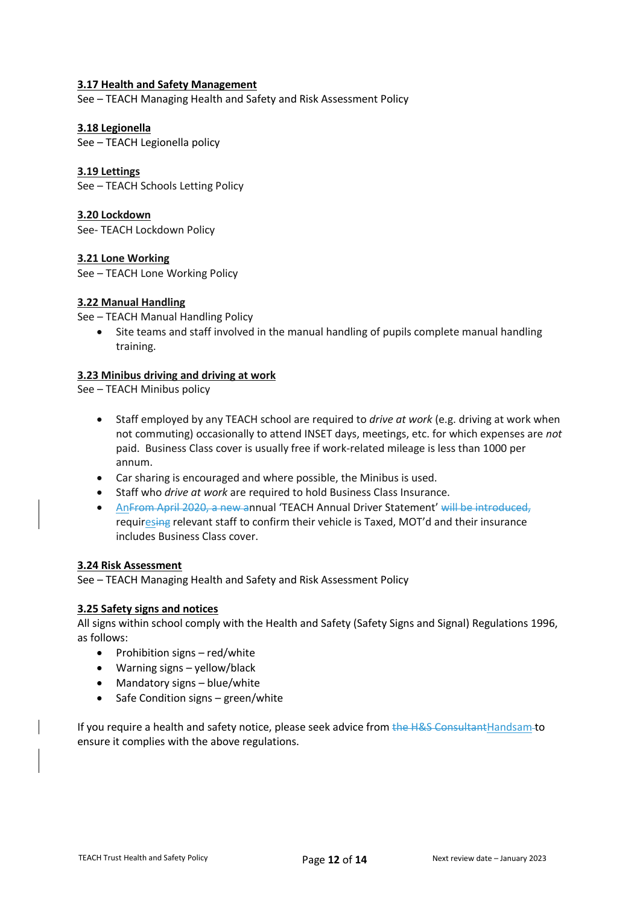#### **3.17 Health and Safety Management**

See – TEACH Managing Health and Safety and Risk Assessment Policy

#### **3.18 Legionella**

See – TEACH Legionella policy

#### **3.19 Lettings**

See – TEACH Schools Letting Policy

#### **3.20 Lockdown**

See- TEACH Lockdown Policy

#### **3.21 Lone Working**

See – TEACH Lone Working Policy

## **3.22 Manual Handling**

See – TEACH Manual Handling Policy

• Site teams and staff involved in the manual handling of pupils complete manual handling training.

#### **3.23 Minibus driving and driving at work**

See – TEACH Minibus policy

- Staff employed by any TEACH school are required to *drive at work* (e.g. driving at work when not commuting) occasionally to attend INSET days, meetings, etc. for which expenses are *not* paid. Business Class cover is usually free if work-related mileage is less than 1000 per annum.
- Car sharing is encouraged and where possible, the Minibus is used.
- Staff who *drive at work* are required to hold Business Class Insurance.
- AnFrom April 2020, a new annual 'TEACH Annual Driver Statement' will be introduced, requiresing relevant staff to confirm their vehicle is Taxed, MOT'd and their insurance includes Business Class cover.

#### **3.24 Risk Assessment**

See – TEACH Managing Health and Safety and Risk Assessment Policy

#### **3.25 Safety signs and notices**

All signs within school comply with the Health and Safety (Safety Signs and Signal) Regulations 1996, as follows:

- Prohibition signs red/white
- Warning signs yellow/black
- Mandatory signs blue/white
- Safe Condition signs green/white

If you require a health and safety notice, please seek advice from the H&S ConsultantHandsam-to ensure it complies with the above regulations.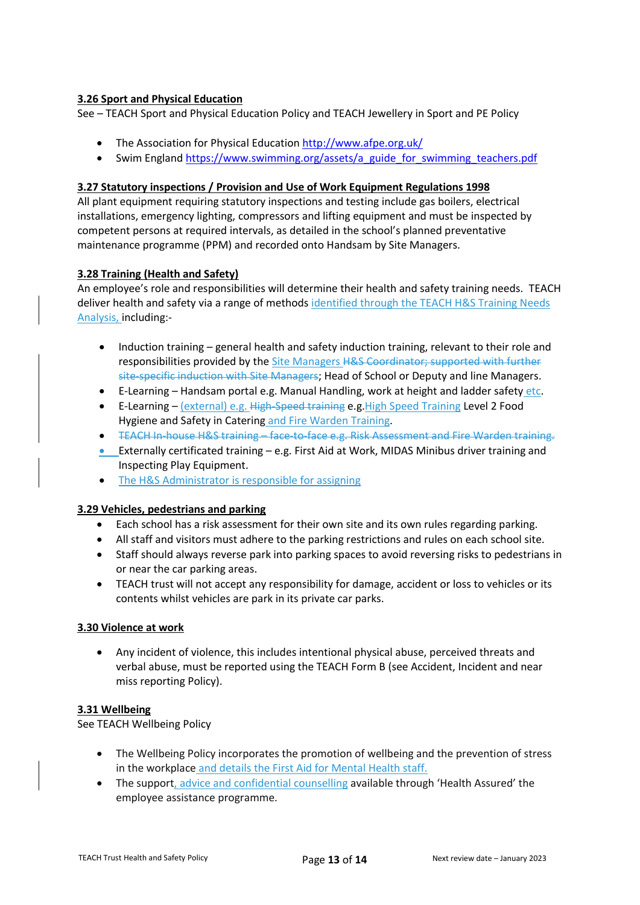## **3.26 Sport and Physical Education**

See – TEACH Sport and Physical Education Policy and TEACH Jewellery in Sport and PE Policy

- The Association for Physical Education<http://www.afpe.org.uk/>
- Swim England [https://www.swimming.org/assets/a\\_guide\\_for\\_swimming\\_teachers.pdf](https://www.swimming.org/assets/a_guide_for_swimming_teachers.pdf)

## **3.27 Statutory inspections / Provision and Use of Work Equipment Regulations 1998**

All plant equipment requiring statutory inspections and testing include gas boilers, electrical installations, emergency lighting, compressors and lifting equipment and must be inspected by competent persons at required intervals, as detailed in the school's planned preventative maintenance programme (PPM) and recorded onto Handsam by Site Managers.

## **3.28 Training (Health and Safety)**

An employee's role and responsibilities will determine their health and safety training needs. TEACH deliver health and safety via a range of methods identified through the TEACH H&S Training Needs Analysis, including:-

- Induction training general health and safety induction training, relevant to their role and responsibilities provided by the Site Managers H&S Coordinator; supported with further site-specific induction with Site Managers; Head of School or Deputy and line Managers.
- E-Learning Handsam portal e.g. Manual Handling, work at height and ladder safety etc.
- E-Learning (external) e.g. High-Speed training e.g. High Speed Training Level 2 Food Hygiene and Safety in Catering and Fire Warden Training.
- TEACH In-house H&S training face-to-face e.g. Risk Assessment and Fire Warden training.
- Externally certificated training e.g. First Aid at Work, MIDAS Minibus driver training and Inspecting Play Equipment.
- The H&S Administrator is responsible for assigning

#### **3.29 Vehicles, pedestrians and parking**

- Each school has a risk assessment for their own site and its own rules regarding parking.
- All staff and visitors must adhere to the parking restrictions and rules on each school site.
- Staff should always reverse park into parking spaces to avoid reversing risks to pedestrians in or near the car parking areas.
- TEACH trust will not accept any responsibility for damage, accident or loss to vehicles or its contents whilst vehicles are park in its private car parks.

#### **3.30 Violence at work**

• Any incident of violence, this includes intentional physical abuse, perceived threats and verbal abuse, must be reported using the TEACH Form B (see Accident, Incident and near miss reporting Policy).

#### **3.31 Wellbeing**

See TEACH Wellbeing Policy

- The Wellbeing Policy incorporates the promotion of wellbeing and the prevention of stress in the workplace and details the First Aid for Mental Health staff.
- The support, advice and confidential counselling available through 'Health Assured' the employee assistance programme.